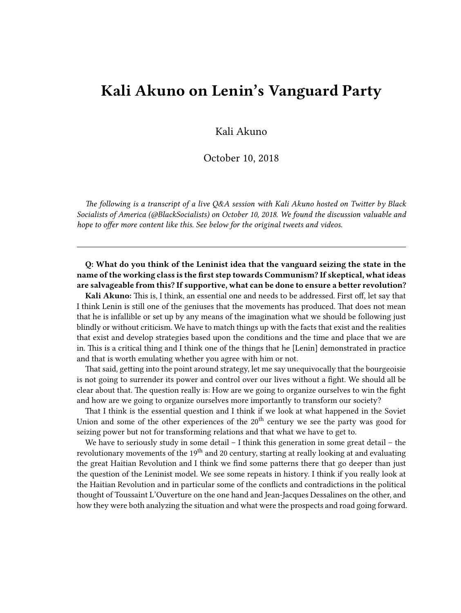## **Kali Akuno on Lenin's Vanguard Party**

Kali Akuno

October 10, 2018

*The following is a transcript of a live Q&A session with Kali Akuno hosted on Twitter by Black Socialists of America (@BlackSocialists) on October 10, 2018. We found the discussion valuable and hope to offer more content like this. See below for the original tweets and videos.*

**Q: What do you think of the Leninist idea that the vanguard seizing the state in the name of the working class is the first step towards Communism? If skeptical, what ideas are salvageable from this? If supportive, what can be done to ensure a better revolution?**

**Kali Akuno:** This is, I think, an essential one and needs to be addressed. First off, let say that I think Lenin is still one of the geniuses that the movements has produced. That does not mean that he is infallible or set up by any means of the imagination what we should be following just blindly or without criticism. We have to match things up with the facts that exist and the realities that exist and develop strategies based upon the conditions and the time and place that we are in. This is a critical thing and I think one of the things that he [Lenin] demonstrated in practice and that is worth emulating whether you agree with him or not.

That said, getting into the point around strategy, let me say unequivocally that the bourgeoisie is not going to surrender its power and control over our lives without a fight. We should all be clear about that. The question really is: How are we going to organize ourselves to win the fight and how are we going to organize ourselves more importantly to transform our society?

That I think is the essential question and I think if we look at what happened in the Soviet Union and some of the other experiences of the  $20<sup>th</sup>$  century we see the party was good for seizing power but not for transforming relations and that what we have to get to.

We have to seriously study in some detail – I think this generation in some great detail – the revolutionary movements of the 19<sup>th</sup> and 20 century, starting at really looking at and evaluating the great Haitian Revolution and I think we find some patterns there that go deeper than just the question of the Leninist model. We see some repeats in history. I think if you really look at the Haitian Revolution and in particular some of the conflicts and contradictions in the political thought of Toussaint L'Ouverture on the one hand and Jean-Jacques Dessalines on the other, and how they were both analyzing the situation and what were the prospects and road going forward.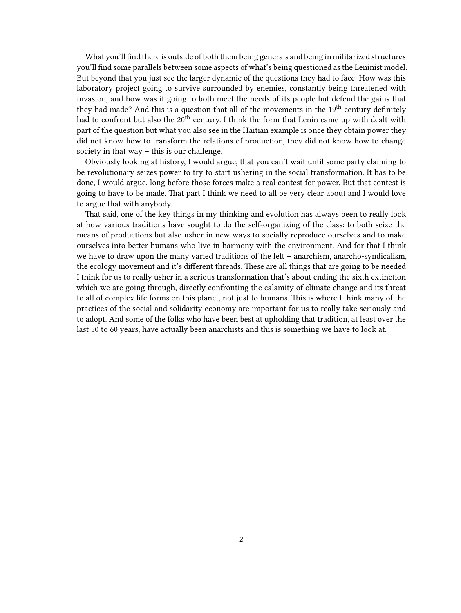What you'll find there is outside of both them being generals and being in militarized structures you'll find some parallels between some aspects of what's being questioned as the Leninist model. But beyond that you just see the larger dynamic of the questions they had to face: How was this laboratory project going to survive surrounded by enemies, constantly being threatened with invasion, and how was it going to both meet the needs of its people but defend the gains that they had made? And this is a question that all of the movements in the  $19<sup>th</sup>$  century definitely had to confront but also the  $20<sup>th</sup>$  century. I think the form that Lenin came up with dealt with part of the question but what you also see in the Haitian example is once they obtain power they did not know how to transform the relations of production, they did not know how to change society in that way – this is our challenge.

Obviously looking at history, I would argue, that you can't wait until some party claiming to be revolutionary seizes power to try to start ushering in the social transformation. It has to be done, I would argue, long before those forces make a real contest for power. But that contest is going to have to be made. That part I think we need to all be very clear about and I would love to argue that with anybody.

That said, one of the key things in my thinking and evolution has always been to really look at how various traditions have sought to do the self-organizing of the class: to both seize the means of productions but also usher in new ways to socially reproduce ourselves and to make ourselves into better humans who live in harmony with the environment. And for that I think we have to draw upon the many varied traditions of the left – anarchism, anarcho-syndicalism, the ecology movement and it's different threads. These are all things that are going to be needed I think for us to really usher in a serious transformation that's about ending the sixth extinction which we are going through, directly confronting the calamity of climate change and its threat to all of complex life forms on this planet, not just to humans. This is where I think many of the practices of the social and solidarity economy are important for us to really take seriously and to adopt. And some of the folks who have been best at upholding that tradition, at least over the last 50 to 60 years, have actually been anarchists and this is something we have to look at.